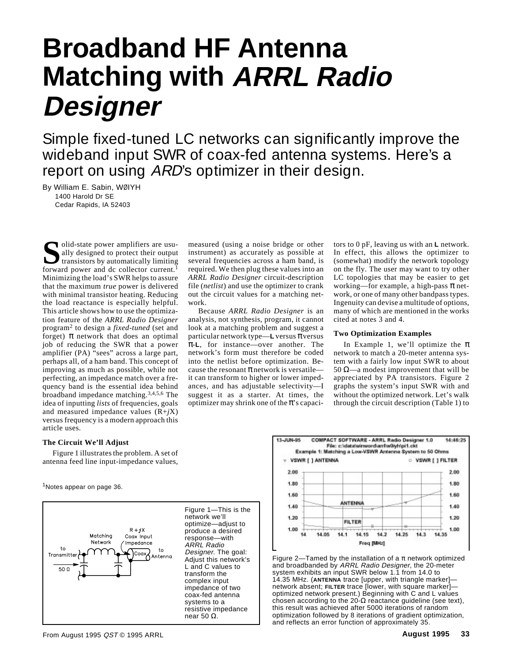# **Broadband HF Antenna Matching with ARRL Radio Designer**

Simple fixed-tuned LC networks can significantly improve the wideband input SWR of coax-fed antenna systems. Here's a report on using ARD's optimizer in their design.

By William E. Sabin, WØIYH 1400 Harold Dr SE Cedar Rapids, IA 52403

**S**olid-state power amplifiers are usu-<br>ally designed to protect their output<br>transistors by automatically limiting<br>forward nower and dc collector current<sup>1</sup> ally designed to protect their output transistors by automatically limiting forward power and dc collector current.<sup>1</sup> Minimizing the load's SWR helps to assure that the maximum *true* power is delivered with minimal transistor heating. Reducing the load reactance is especially helpful. This article shows how to use the optimization feature of the *ARRL Radio Designer* program2 to design a *fixed-tuned* (set and forget)  $\pi$  network that does an optimal job of reducing the SWR that a power amplifier (PA) "sees" across a large part, perhaps all, of a ham band. This concept of improving as much as possible, while not perfecting, an impedance match over a frequency band is the essential idea behind broadband impedance matching.3,4,5,6 The idea of inputting *lists* of frequencies, goals and measured impedance values (R+*j*X) versus frequency is a modern approach this article uses.

measured (using a noise bridge or other instrument) as accurately as possible at several frequencies across a ham band, is required. We then plug these values into an *ARRL Radio Designer* circuit-description file (*netlist*) and use the optimizer to crank out the circuit values for a matching network.

Because *ARRL Radio Designer* is an analysis, not synthesis, program, it cannot look at a matching problem and suggest a particular network type—**L** versus π versus π-**L**, for instance—over another. The network's form must therefore be coded into the netlist before optimization. Because the resonant  $\pi$  network is versatile it can transform to higher or lower impedances, and has adjustable selectivity—I suggest it as a starter. At times, the optimizer may shrink one of the  $\pi$ 's capacitors to 0 pF, leaving us with an **L** network. In effect, this allows the optimizer to (somewhat) modify the network topology on the fly. The user may want to try other LC topologies that may be easier to get working—for example, a high-pass  $\pi$  network, or one of many other bandpass types. Ingenuity can devise a multitude of options, many of which are mentioned in the works cited at notes 3 and 4.

## **Two Optimization Examples**

In Example 1, we'll optimize the  $\pi$ network to match a 20-meter antenna system with a fairly low input SWR to about 50 Ω—a modest improvement that will be appreciated by PA transistors. Figure 2 graphs the system's input SWR with and without the optimized network. Let's walk through the circuit description (Table 1) to

## **The Circuit We'll Adjust**

Figure 1 illustrates the problem. A set of antenna feed line input-impedance values,

<sup>1</sup>Notes appear on page 36.





Figure 2—Tamed by the installation of a  $\pi$  network optimized and broadbanded by ARRL Radio Designer, the 20-meter system exhibits an input SWR below 1.1 from 14.0 to 14.35 MHz. (**ANTENNA** trace [upper, with triangle marker] network absent; **FILTER** trace [lower, with square marker] optimized network present.) Beginning with C and L values chosen according to the 20-Ω reactance guideline (see text), this result was achieved after 5000 iterations of random optimization followed by 8 iterations of gradient optimization, and reflects an error function of approximately 35.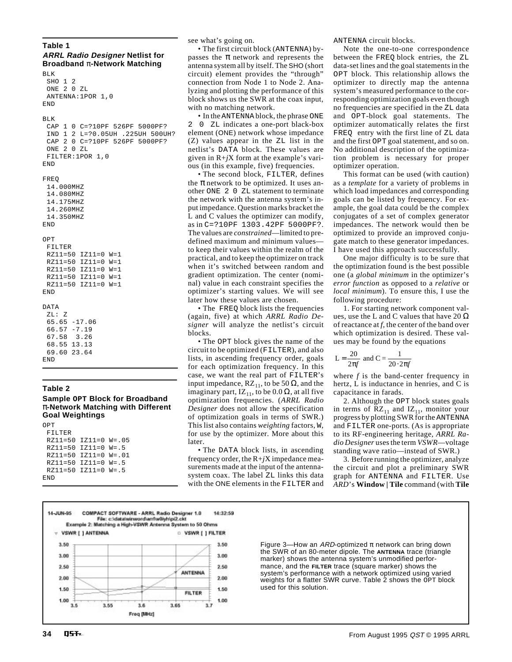# **Table 1**

**ARRL Radio Designer Netlist for Broadband** π**-Network Matching** BLK

```
 SHO 1 2
  ONE 2 0 ZL
  ANTENNA:1POR 1,0
END
BLK
  CAP 1 0 C=?10PF 526PF 5000PF?
  IND 1 2 L=?0.05UH .225UH 500UH?
  CAP 2 0 C=?10PF 526PF 5000PF?
  ONE 2 0 ZL
  FILTER:1POR 1,0
END
FREQ
  14.000MHZ
  14.080MHZ
  14.175MHZ
  14.260MHZ
  14.350MHZ
END
OPT
  FILTER
  RZ11=50 IZ11=0 W=1
  RZ11=50 IZ11=0 W=1
  RZ11=50 IZ11=0 W=1
 RZ11=50 TZ11=0 W=1 RZ11=50 IZ11=0 W=1
END
DATA
  ZL: Z
  65.65 -17.06
  66.57 -7.19
  67.58 3.26
  68.55 13.13
  69.60 23.64
END
```
## **Table 2**

# **Sample OPT Block for Broadband** π**-Network Matching with Different Goal Weightings**

| OPT                              |  |  |
|----------------------------------|--|--|
| FTI TRR                          |  |  |
| RZ11=50 IZ11=0 W=.05             |  |  |
| $RZ11 = 50$ $IZ11 = 0$ $W = .5$  |  |  |
| $RZ11 = 50$ $IZ11 = 0$ $W = .01$ |  |  |
| $RZ11 = 50$ $IZ11 = 0$ $W = .5$  |  |  |
| $RZ11 = 50$ $IZ11 = 0$ $W = .5$  |  |  |
| F.ND                             |  |  |
|                                  |  |  |

see what's going on.

• The first circuit block (ANTENNA) bypasses the  $\pi$  network and represents the antenna system all by itself. The SHO (short circuit) element provides the "through" connection from Node 1 to Node 2. Analyzing and plotting the performance of this block shows us the SWR at the coax input, with no matching network.

• In the ANTENNA block, the phrase ONE 2 0 ZL indicates a one-port black-box element (ONE) network whose impedance (Z) values appear in the ZL list in the netlist's DATA block. These values are given in R+*j*X form at the example's various (in this example, five) frequencies.

• The second block, FILTER, defines the  $\pi$  network to be optimized. It uses another ONE 2 0 ZL statement to terminate the network with the antenna system's input impedance. Question marks bracket the L and C values the optimizer can modify, as in C=?10PF 1303.42PF 5000PF?. The values are *constrained*—limited to predefined maximum and minimum values to keep their values within the realm of the practical, and to keep the optimizer on track when it's switched between random and gradient optimization. The center (nominal) value in each constraint specifies the optimizer's starting values. We will see later how these values are chosen.

• The FREQ block lists the frequencies (again, five) at which *ARRL Radio Designer* will analyze the netlist's circuit blocks.

• The OPT block gives the name of the circuit to be optimized (FILTER), and also lists, in ascending frequency order, goals for each optimization frequency. In this case, we want the real part of FILTER's input impedance,  $RZ_{11}$ , to be 50  $\Omega$ , and the imaginary part, IZ<sub>11</sub>, to be 0.0 Ω, at all five optimization frequencies. (*ARRL Radio Designer* does not allow the specification of optimization goals in terms of SWR.) This list also contains *weighting* factors, W, for use by the optimizer. More about this later.

• The DATA block lists, in ascending frequency order, the R+*j*X impedance measurements made at the input of the antennasystem coax. The label ZL links this data with the ONE elements in the FILTER and ANTENNA circuit blocks.

Note the one-to-one correspondence between the FREQ block entries, the ZL data-set lines and the goal statements in the OPT block. This relationship allows the optimizer to directly map the antenna system's measured performance to the corresponding optimization goals even though no frequencies are specified in the ZL data and OPT-block goal statements. The optimizer automatically relates the first FREQ entry with the first line of ZL data and the first OPT goal statement, and so on. No additional description of the optimization problem is necessary for proper optimizer operation.

This format can be used (with caution) as a *template* for a variety of problems in which load impedances and corresponding goals can be listed by frequency. For example, the goal data could be the complex conjugates of a set of complex generator impedances. The network would then be optimized to provide an improved conjugate match to these generator impedances. I have used this approach successfully.

One major difficulty is to be sure that the optimization found is the best possible one (a *global minimum* in the optimizer's *error function* as opposed to a *relative* or *local minimum*). To ensure this, I use the following procedure:

1. For starting network component values, use the L and C values that have  $20 \Omega$ of reactance at *f*, the center of the band over which optimization is desired. These values may be found by the equations

$$
L = \frac{20}{2\pi f}
$$
 and  $C = \frac{1}{20 \cdot 2\pi f}$ 

where *f* is the band-center frequency in hertz, L is inductance in henries, and C is capacitance in farads.

2. Although the OPT block states goals in terms of  $RZ_{11}$  and  $IZ_{11}$ , monitor your progress by plotting SWR for the ANTENNA and FILTER one-ports. (As is appropriate to its RF-engineering heritage, *ARRL Radio Designer* uses the term *VSWR*—voltage standing wave ratio—instead of SWR.)

3. Before running the optimizer, analyze the circuit and plot a preliminary SWR graph for ANTENNA and FILTER. Use *ARD*'s **Window | Tile** command (with **Tile**



Figure 3—How an ARD-optimized  $\pi$  network can bring down the SWR of an 80-meter dipole. The **ANTENNA** trace (triangle marker) shows the antenna system's unmodified performance, and the **FILTER** trace (square marker) shows the system's performance with a network optimized using varied weights for a flatter SWR curve. Table 2 shows the OPT block used for this solution.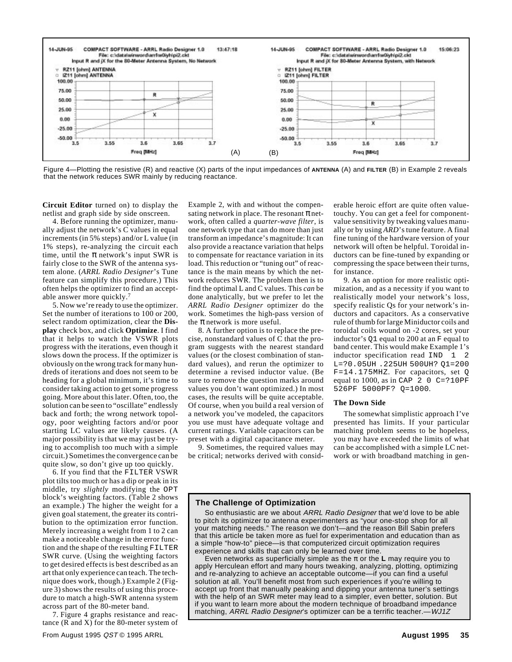

Figure 4—Plotting the resistive (R) and reactive (X) parts of the input impedances of **ANTENNA** (A) and **FILTER** (B) in Example 2 reveals that the network reduces SWR mainly by reducing reactance.

**Circuit Editor** turned on) to display the netlist and graph side by side onscreen.

4. Before running the optimizer, manually adjust the network's C values in equal increments (in 5% steps) and/or L value (in 1% steps), re-analyzing the circuit each time, until the  $\pi$  network's input SWR is fairly close to the SWR of the antenna system alone. (*ARRL Radio Designer*'s Tune feature can simplify this procedure.) This often helps the optimizer to find an acceptable answer more quickly.7

5. Now we're ready to use the optimizer. Set the number of iterations to 100 or 200, select random optimization, clear the **Display** check box, and click **Optimize**. I find that it helps to watch the VSWR plots progress with the iterations, even though it slows down the process. If the optimizer is obviously on the wrong track for many hundreds of iterations and does not seem to be heading for a global minimum, it's time to consider taking action to get some progress going. More about this later. Often, too, the solution can be seen to "oscillate" endlessly back and forth; the wrong network topology, poor weighting factors and/or poor starting LC values are likely causes. (A major possibility is that we may just be trying to accomplish too much with a simple circuit.) Sometimes the convergence can be quite slow, so don't give up too quickly.

6. If you find that the FILTER VSWR plot tilts too much or has a dip or peak in its middle, try *slightly* modifying the OPT block's weighting factors. (Table 2 shows an example.) The higher the weight for a given goal statement, the greater its contribution to the optimization error function. Merely increasing a weight from 1 to 2 can make a noticeable change in the error function and the shape of the resulting FILTER SWR curve. (Using the weighting factors to get desired effects is best described as an art that only experience can teach. The technique does work, though.) Example 2 (Figure 3) shows the results of using this procedure to match a high-SWR antenna system across part of the 80-meter band.

7. Figure 4 graphs resistance and reactance (R and X) for the 80-meter system of Example 2, with and without the compensating network in place. The resonant  $\pi$  network, often called a *quarter-wave filter*, is one network type that can do more than just transform an impedance's magnitude: It can also provide a reactance variation that helps to compensate for reactance variation in its load. This reduction or "tuning out" of reactance is the main means by which the network reduces SWR. The problem then is to find the optimal L and C values. This *can* be done analytically, but we prefer to let the *ARRL Radio Designer* optimizer do the work. Sometimes the high-pass version of the  $\pi$  network is more useful.

8. A further option is to replace the precise, nonstandard values of C that the program suggests with the nearest standard values (or the closest combination of standard values), and rerun the optimizer to determine a revised inductor value. (Be sure to remove the question marks around values you don't want optimized.) In most cases, the results will be quite acceptable. Of course, when you build a real version of a network you've modeled, the capacitors you use must have adequate voltage and current ratings. Variable capacitors can be preset with a digital capacitance meter.

9. Sometimes, the required values may be critical; networks derived with considerable heroic effort are quite often valuetouchy. You can get a feel for componentvalue sensitivity by tweaking values manually or by using *ARD*'s tune feature. A final fine tuning of the hardware version of your network will often be helpful. Toroidal inductors can be fine-tuned by expanding or compressing the space between their turns, for instance.

9. As an option for more realistic optimization, and as a necessity if you want to realistically model your network's loss, specify realistic Qs for your network's inductors and capacitors. As a conservative rule of thumb for large Miniductor coils and toroidal coils wound on -2 cores, set your inductor's Q1 equal to 200 at an F equal to band center. This would make Example 1's inductor specification read IND 1 2 L=?0.05UH .225UH 500UH? Q1=200 F=14.175MHZ. For capacitors, set Q equal to 1000, as in CAP  $2 \text{ } 0 \text{ } C = ?10 \text{ }PF$ 526PF 5000PF? Q=1000.

## **The Down Side**

The somewhat simplistic approach I've presented has limits. If your particular matching problem seems to be hopeless, you may have exceeded the limits of what can be accomplished with a simple LC network or with broadband matching in gen-

## **The Challenge of Optimization**

So enthusiastic are we about ARRL Radio Designer that we'd love to be able to pitch its optimizer to antenna experimenters as "your one-stop shop for all your matching needs." The reason we don't—and the reason Bill Sabin prefers that this article be taken more as fuel for experimentation and education than as a simple "how-to" piece—is that computerized circuit optimization requires experience and skills that can only be learned over time.

Even networks as superficially simple as the π or the **L** may require you to apply Herculean effort and many hours tweaking, analyzing, plotting, optimizing and re-analyzing to achieve an acceptable outcome—if you can find a useful solution at all. You'll benefit most from such experiences if you're willing to accept up front that manually peaking and dipping your antenna tuner's settings with the help of an SWR meter may lead to a simpler, even better, solution. But if you want to learn more about the modern technique of broadband impedance matching, ARRL Radio Designer's optimizer can be a terrific teacher.—WJ1Z